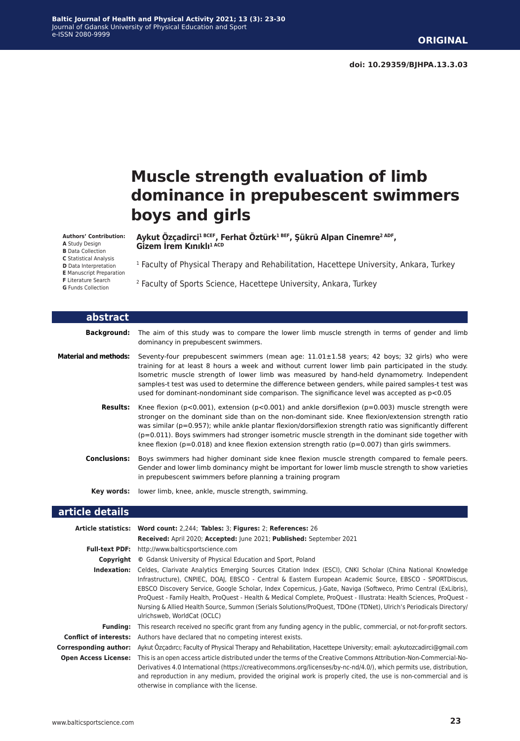**doi: 10.29359/BJHPA.13.3.03**

# **Muscle strength evaluation of limb dominance in prepubescent swimmers boys and girls**

#### **Authors' Contribution:**

**A** Study Design **B** Data Collection **C** Statistical Analysis **D** Data Interpretation **E** Manuscript Preparation

- **F** Literature Search
- **G** Funds Collection

**Aykut Özçadirci1 BCEF, Ferhat Öztürk1 BEF, Şükrü Alpan Cinemre2 ADF, Gizem İrem Kınıklı1 ACD**

1 Faculty of Physical Therapy and Rehabilitation, Hacettepe University, Ankara, Turkey

2 Faculty of Sports Science, Hacettepe University, Ankara, Turkey

| abstract                     |                                                                                                                                                                                                                                                                                                                                                                                                                                                                                                                                                           |
|------------------------------|-----------------------------------------------------------------------------------------------------------------------------------------------------------------------------------------------------------------------------------------------------------------------------------------------------------------------------------------------------------------------------------------------------------------------------------------------------------------------------------------------------------------------------------------------------------|
| <b>Background:</b>           | The aim of this study was to compare the lower limb muscle strength in terms of gender and limb<br>dominancy in prepubescent swimmers.                                                                                                                                                                                                                                                                                                                                                                                                                    |
| <b>Material and methods:</b> | Seventy-four prepubescent swimmers (mean age: 11.01±1.58 years; 42 boys; 32 girls) who were<br>training for at least 8 hours a week and without current lower limb pain participated in the study.<br>Isometric muscle strength of lower limb was measured by hand-held dynamometry. Independent<br>samples-t test was used to determine the difference between genders, while paired samples-t test was<br>used for dominant-nondominant side comparison. The significance level was accepted as p<0.05                                                  |
| <b>Results:</b>              | Knee flexion ( $p<0.001$ ), extension ( $p<0.001$ ) and ankle dorsiflexion ( $p=0.003$ ) muscle strength were<br>stronger on the dominant side than on the non-dominant side. Knee flexion/extension strength ratio<br>was similar ( $p=0.957$ ); while ankle plantar flexion/dorsiflexion strength ratio was significantly different<br>$(p=0.011)$ . Boys swimmers had stronger isometric muscle strength in the dominant side together with<br>knee flexion ( $p=0.018$ ) and knee flexion extension strength ratio ( $p=0.007$ ) than girls swimmers. |
| <b>Conclusions:</b>          | Boys swimmers had higher dominant side knee flexion muscle strength compared to female peers.<br>Gender and lower limb dominancy might be important for lower limb muscle strength to show varieties<br>in prepubescent swimmers before planning a training program                                                                                                                                                                                                                                                                                       |
| Key words:                   | lower limb, knee, ankle, muscle strength, swimming.                                                                                                                                                                                                                                                                                                                                                                                                                                                                                                       |
| article details              |                                                                                                                                                                                                                                                                                                                                                                                                                                                                                                                                                           |

#### **Article statistics: Word count:** 2,244; **Tables:** 3; **Figures:** 2; **References:** 26 **Received:** April 2020; **Accepted:** June 2021; **Published:** September 2021 **Full-text PDF:** http://www.balticsportscience.com **Copyright ©** Gdansk University of Physical Education and Sport, Poland **Indexation:** Celdes, Clarivate Analytics Emerging Sources Citation Index (ESCI), CNKI Scholar (China National Knowledge Infrastructure), CNPIEC, DOAJ, EBSCO - Central & Eastern European Academic Source, EBSCO - SPORTDiscus, EBSCO Discovery Service, Google Scholar, Index Copernicus, J-Gate, Naviga (Softweco, Primo Central (ExLibris), ProQuest - Family Health, ProQuest - Health & Medical Complete, ProQuest - Illustrata: Health Sciences, ProQuest - Nursing & Allied Health Source, Summon (Serials Solutions/ProQuest, TDOne (TDNet), Ulrich's Periodicals Directory/ ulrichsweb, WorldCat (OCLC) **Funding:** This research received no specific grant from any funding agency in the public, commercial, or not-for-profit sectors. **Conflict of interests:** Authors have declared that no competing interest exists. **Corresponding author:** Aykut Özçadırcı; Faculty of Physical Therapy and Rehabilitation, Hacettepe University; email: aykutozcadirci@gmail.com **Open Access License:** This is an open access article distributed under the terms of the Creative Commons Attribution-Non-Commercial-No-Derivatives 4.0 International (https://creativecommons.org/licenses/by-nc-nd/4.0/), which permits use, distribution, and reproduction in any medium, provided the original work is properly cited, the use is non-commercial and is otherwise in compliance with the license.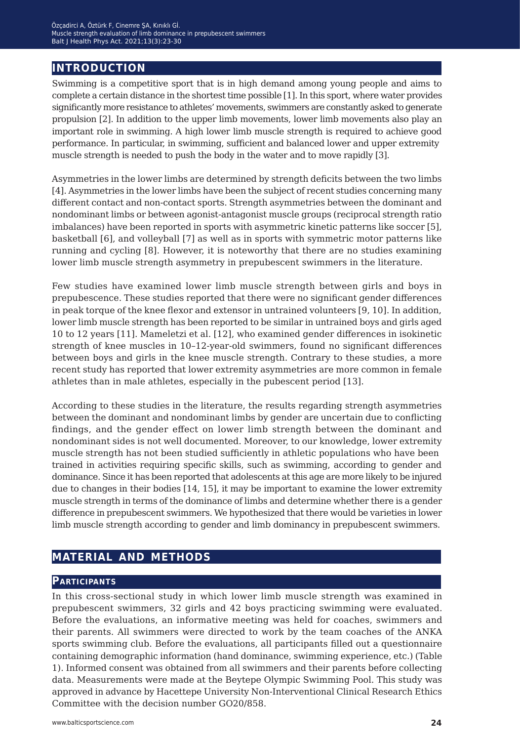# **introduction**

Swimming is a competitive sport that is in high demand among young people and aims to complete a certain distance in the shortest time possible [1]. In this sport, where water provides significantly more resistance to athletes' movements, swimmers are constantly asked to generate propulsion [2]. In addition to the upper limb movements, lower limb movements also play an important role in swimming. A high lower limb muscle strength is required to achieve good performance. In particular, in swimming, sufficient and balanced lower and upper extremity muscle strength is needed to push the body in the water and to move rapidly [3].

Asymmetries in the lower limbs are determined by strength deficits between the two limbs [4]. Asymmetries in the lower limbs have been the subject of recent studies concerning many different contact and non-contact sports. Strength asymmetries between the dominant and nondominant limbs or between agonist-antagonist muscle groups (reciprocal strength ratio imbalances) have been reported in sports with asymmetric kinetic patterns like soccer [5], basketball [6], and volleyball [7] as well as in sports with symmetric motor patterns like running and cycling [8]. However, it is noteworthy that there are no studies examining lower limb muscle strength asymmetry in prepubescent swimmers in the literature.

Few studies have examined lower limb muscle strength between girls and boys in prepubescence. These studies reported that there were no significant gender differences in peak torque of the knee flexor and extensor in untrained volunteers [9, 10]. In addition, lower limb muscle strength has been reported to be similar in untrained boys and girls aged 10 to 12 years [11]. Mameletzi et al. [12], who examined gender differences in isokinetic strength of knee muscles in 10–12-year-old swimmers, found no significant differences between boys and girls in the knee muscle strength. Contrary to these studies, a more recent study has reported that lower extremity asymmetries are more common in female athletes than in male athletes, especially in the pubescent period [13].

According to these studies in the literature, the results regarding strength asymmetries between the dominant and nondominant limbs by gender are uncertain due to conflicting findings, and the gender effect on lower limb strength between the dominant and nondominant sides is not well documented. Moreover, to our knowledge, lower extremity muscle strength has not been studied sufficiently in athletic populations who have been trained in activities requiring specific skills, such as swimming, according to gender and dominance. Since it has been reported that adolescents at this age are more likely to be injured due to changes in their bodies [14, 15], it may be important to examine the lower extremity muscle strength in terms of the dominance of limbs and determine whether there is a gender difference in prepubescent swimmers. We hypothesized that there would be varieties in lower limb muscle strength according to gender and limb dominancy in prepubescent swimmers.

# **material and methods**

#### **Participants**

In this cross-sectional study in which lower limb muscle strength was examined in prepubescent swimmers, 32 girls and 42 boys practicing swimming were evaluated. Before the evaluations, an informative meeting was held for coaches, swimmers and their parents. All swimmers were directed to work by the team coaches of the ANKA sports swimming club. Before the evaluations, all participants filled out a questionnaire containing demographic information (hand dominance, swimming experience, etc.) (Table 1). Informed consent was obtained from all swimmers and their parents before collecting data. Measurements were made at the Beytepe Olympic Swimming Pool. This study was approved in advance by Hacettepe University Non-Interventional Clinical Research Ethics Committee with the decision number GO20/858.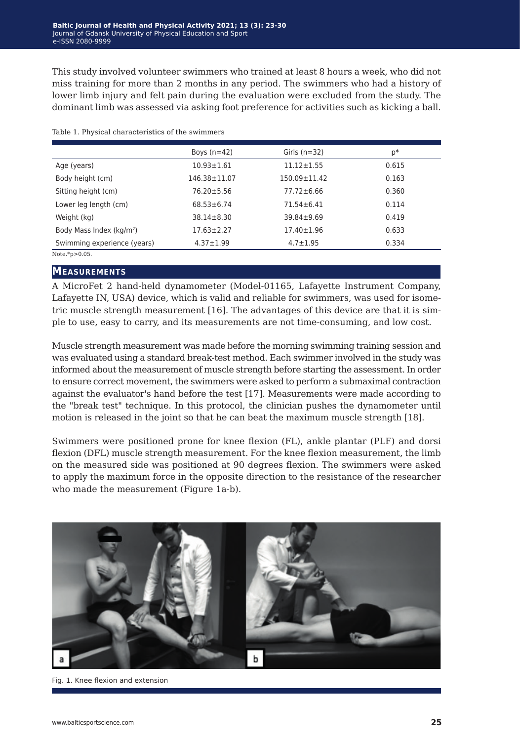This study involved volunteer swimmers who trained at least 8 hours a week, who did not miss training for more than 2 months in any period. The swimmers who had a history of lower limb injury and felt pain during the evaluation were excluded from the study. The dominant limb was assessed via asking foot preference for activities such as kicking a ball.

|  | Table 1. Physical characteristics of the swimmers |  |
|--|---------------------------------------------------|--|
|  |                                                   |  |

|                                      | Boys $(n=42)$    | Girls $(n=32)$     | p*    |
|--------------------------------------|------------------|--------------------|-------|
| Age (years)                          | $10.93 \pm 1.61$ | $11.12 \pm 1.55$   | 0.615 |
| Body height (cm)                     | 146.38±11.07     | $150.09 \pm 11.42$ | 0.163 |
| Sitting height (cm)                  | $76.20 \pm 5.56$ | $77.72 \pm 6.66$   | 0.360 |
| Lower leg length (cm)                | $68.53 \pm 6.74$ | $71.54 \pm 6.41$   | 0.114 |
| Weight (kg)                          | $38.14 \pm 8.30$ | $39.84 \pm 9.69$   | 0.419 |
| Body Mass Index (kg/m <sup>2</sup> ) | $17.63 \pm 2.27$ | $17.40 \pm 1.96$   | 0.633 |
| Swimming experience (years)          | $4.37 \pm 1.99$  | $4.7 \pm 1.95$     | 0.334 |
| Note.* $p > 0.05$ .                  |                  |                    |       |

#### **Measurements**

A MicroFet 2 hand-held dynamometer (Model-01165, Lafayette Instrument Company, Lafayette IN, USA) device, which is valid and reliable for swimmers, was used for isometric muscle strength measurement [16]. The advantages of this device are that it is simple to use, easy to carry, and its measurements are not time-consuming, and low cost.

Muscle strength measurement was made before the morning swimming training session and was evaluated using a standard break-test method. Each swimmer involved in the study was informed about the measurement of muscle strength before starting the assessment. In order to ensure correct movement, the swimmers were asked to perform a submaximal contraction against the evaluator's hand before the test [17]. Measurements were made according to the "break test" technique. In this protocol, the clinician pushes the dynamometer until motion is released in the joint so that he can beat the maximum muscle strength [18].

Swimmers were positioned prone for knee flexion (FL), ankle plantar (PLF) and dorsi flexion (DFL) muscle strength measurement. For the knee flexion measurement, the limb on the measured side was positioned at 90 degrees flexion. The swimmers were asked to apply the maximum force in the opposite direction to the resistance of the researcher who made the measurement (Figure 1a-b).



Fig. 1. Knee flexion and extension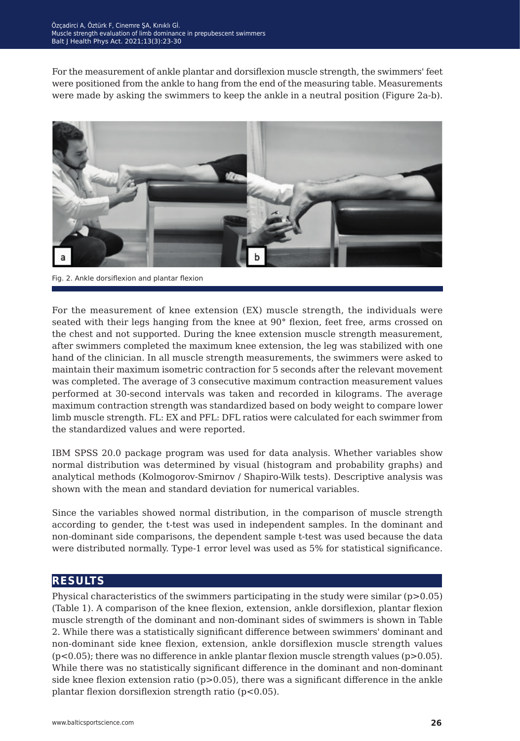For the measurement of ankle plantar and dorsiflexion muscle strength, the swimmers' feet were positioned from the ankle to hang from the end of the measuring table. Measurements were made by asking the swimmers to keep the ankle in a neutral position (Figure 2a-b).



Fig. 2. Ankle dorsiflexion and plantar flexion

For the measurement of knee extension (EX) muscle strength, the individuals were seated with their legs hanging from the knee at 90° flexion, feet free, arms crossed on the chest and not supported. During the knee extension muscle strength measurement, after swimmers completed the maximum knee extension, the leg was stabilized with one hand of the clinician. In all muscle strength measurements, the swimmers were asked to maintain their maximum isometric contraction for 5 seconds after the relevant movement was completed. The average of 3 consecutive maximum contraction measurement values performed at 30-second intervals was taken and recorded in kilograms. The average maximum contraction strength was standardized based on body weight to compare lower limb muscle strength. FL: EX and PFL: DFL ratios were calculated for each swimmer from the standardized values and were reported.

IBM SPSS 20.0 package program was used for data analysis. Whether variables show normal distribution was determined by visual (histogram and probability graphs) and analytical methods (Kolmogorov-Smirnov / Shapiro-Wilk tests). Descriptive analysis was shown with the mean and standard deviation for numerical variables.

Since the variables showed normal distribution, in the comparison of muscle strength according to gender, the t-test was used in independent samples. In the dominant and non-dominant side comparisons, the dependent sample t-test was used because the data were distributed normally. Type-1 error level was used as 5% for statistical significance.

## **results**

Physical characteristics of the swimmers participating in the study were similar  $(p>0.05)$ (Table 1). A comparison of the knee flexion, extension, ankle dorsiflexion, plantar flexion muscle strength of the dominant and non-dominant sides of swimmers is shown in Table 2. While there was a statistically significant difference between swimmers' dominant and non-dominant side knee flexion, extension, ankle dorsiflexion muscle strength values  $(p<0.05)$ ; there was no difference in ankle plantar flexion muscle strength values  $(p>0.05)$ . While there was no statistically significant difference in the dominant and non-dominant side knee flexion extension ratio ( $p>0.05$ ), there was a significant difference in the ankle plantar flexion dorsiflexion strength ratio (p<0.05).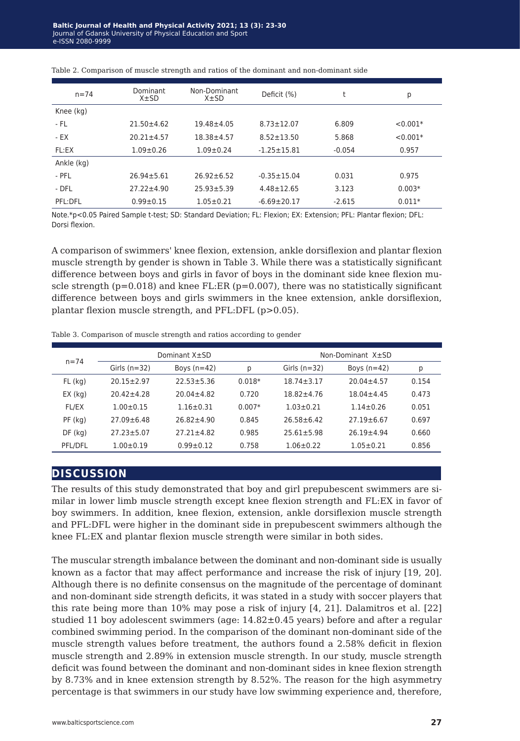| $n = 74$   | Dominant<br>$X \pm SD$ | Non-Dominant<br>$X \pm SD$ | Deficit (%)               | t        | р          |
|------------|------------------------|----------------------------|---------------------------|----------|------------|
| Knee (kg)  |                        |                            |                           |          |            |
| - FL       | $21.50 \pm 4.62$       | $19.48 + 4.05$             | 6.809<br>$8.73 \pm 12.07$ |          | $< 0.001*$ |
| - EX       | $20.21 \pm 4.57$       | $18.38 + 4.57$             | $8.52 \pm 13.50$          | 5.868    | $< 0.001*$ |
| FL:EX      | $1.09 + 0.26$          | $1.09 \pm 0.24$            | $-1.25 \pm 15.81$         | $-0.054$ | 0.957      |
| Ankle (kg) |                        |                            |                           |          |            |
| - PFL      | $26.94 + 5.61$         | $26.92 + 6.52$             | $-0.35 + 15.04$           | 0.031    | 0.975      |
| - DFL      | $27.22 \pm 4.90$       | $25.93 \pm 5.39$           | $4.48 \pm 12.65$          | 3.123    | $0.003*$   |
| PFL:DFL    | $0.99 \pm 0.15$        | $1.05 \pm 0.21$            | $-6.69 \pm 20.17$         | $-2.615$ | $0.011*$   |
|            |                        |                            |                           |          |            |

Table 2. Comparison of muscle strength and ratios of the dominant and non-dominant side

Note.\*p<0.05 Paired Sample t-test; SD: Standard Deviation; FL: Flexion; EX: Extension; PFL: Plantar flexion; DFL: Dorsi flexion.

A comparison of swimmers' knee flexion, extension, ankle dorsiflexion and plantar flexion muscle strength by gender is shown in Table 3. While there was a statistically significant difference between boys and girls in favor of boys in the dominant side knee flexion muscle strength ( $p=0.018$ ) and knee FL:ER ( $p=0.007$ ), there was no statistically significant difference between boys and girls swimmers in the knee extension, ankle dorsiflexion, plantar flexion muscle strength, and PFL:DFL (p>0.05).

Table 3. Comparison of muscle strength and ratios according to gender

| $n = 74$      | Dominant X±SD    |                |          | Non-Dominant X±SD |                  |       |
|---------------|------------------|----------------|----------|-------------------|------------------|-------|
|               | Girls $(n=32)$   | Boys $(n=42)$  | р        | Girls $(n=32)$    | Boys $(n=42)$    | р     |
| $FL$ (kg)     | $20.15 + 2.97$   | $22.53 + 5.36$ | $0.018*$ | $18.74 + 3.17$    | $20.04 + 4.57$   | 0.154 |
| $EX$ ( $kg$ ) | $20.42 + 4.28$   | $20.04 + 4.82$ | 0.720    | $18.82 + 4.76$    | $18.04 + 4.45$   | 0.473 |
| <b>FL/EX</b>  | $1.00 + 0.15$    | $1.16 + 0.31$  | $0.007*$ | $1.03 + 0.21$     | $1.14 + 0.26$    | 0.051 |
| $PF$ (kg)     | $27.09 + 6.48$   | $26.82 + 4.90$ | 0.845    | $26.58 + 6.42$    | $27.19 \pm 6.67$ | 0.697 |
| DF (kg)       | $27.23 \pm 5.07$ | $27.21 + 4.82$ | 0.985    | $25.61 + 5.98$    | $26.19 + 4.94$   | 0.660 |
| PFL/DFL       | $1.00 \pm 0.19$  | $0.99 + 0.12$  | 0.758    | $1.06 \pm 0.22$   | $1.05 \pm 0.21$  | 0.856 |

#### **discussion**

The results of this study demonstrated that boy and girl prepubescent swimmers are similar in lower limb muscle strength except knee flexion strength and FL:EX in favor of boy swimmers. In addition, knee flexion, extension, ankle dorsiflexion muscle strength and PFL:DFL were higher in the dominant side in prepubescent swimmers although the knee FL:EX and plantar flexion muscle strength were similar in both sides.

The muscular strength imbalance between the dominant and non-dominant side is usually known as a factor that may affect performance and increase the risk of injury [19, 20]. Although there is no definite consensus on the magnitude of the percentage of dominant and non-dominant side strength deficits, it was stated in a study with soccer players that this rate being more than 10% may pose a risk of injury [4, 21]. Dalamitros et al. [22] studied 11 boy adolescent swimmers (age: 14.82±0.45 years) before and after a regular combined swimming period. In the comparison of the dominant non-dominant side of the muscle strength values before treatment, the authors found a 2.58% deficit in flexion muscle strength and 2.89% in extension muscle strength. In our study, muscle strength deficit was found between the dominant and non-dominant sides in knee flexion strength by 8.73% and in knee extension strength by 8.52%. The reason for the high asymmetry percentage is that swimmers in our study have low swimming experience and, therefore,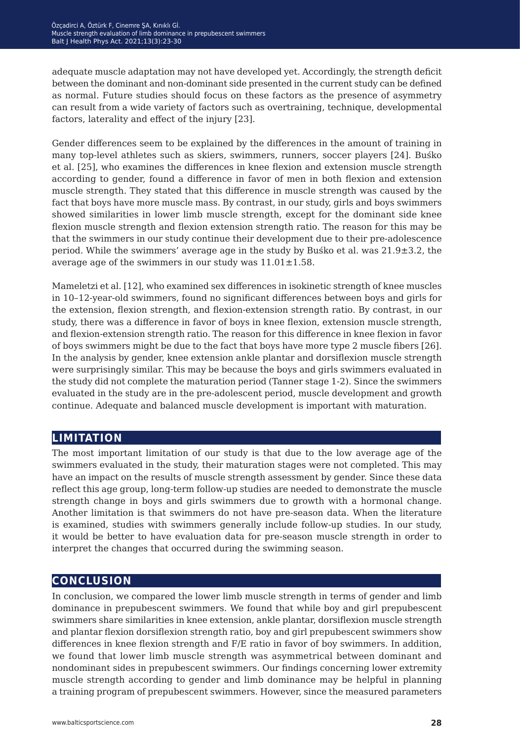adequate muscle adaptation may not have developed yet. Accordingly, the strength deficit between the dominant and non-dominant side presented in the current study can be defined as normal. Future studies should focus on these factors as the presence of asymmetry can result from a wide variety of factors such as overtraining, technique, developmental factors, laterality and effect of the injury [23].

Gender differences seem to be explained by the differences in the amount of training in many top-level athletes such as skiers, swimmers, runners, soccer players [24]. Buśko et al. [25], who examines the differences in knee flexion and extension muscle strength according to gender, found a difference in favor of men in both flexion and extension muscle strength. They stated that this difference in muscle strength was caused by the fact that boys have more muscle mass. By contrast, in our study, girls and boys swimmers showed similarities in lower limb muscle strength, except for the dominant side knee flexion muscle strength and flexion extension strength ratio. The reason for this may be that the swimmers in our study continue their development due to their pre-adolescence period. While the swimmers' average age in the study by Buśko et al. was 21.9±3.2, the average age of the swimmers in our study was  $11.01 \pm 1.58$ .

Mameletzi et al. [12], who examined sex differences in isokinetic strength of knee muscles in 10–12-year-old swimmers, found no significant differences between boys and girls for the extension, flexion strength, and flexion-extension strength ratio. By contrast, in our study, there was a difference in favor of boys in knee flexion, extension muscle strength, and flexion-extension strength ratio. The reason for this difference in knee flexion in favor of boys swimmers might be due to the fact that boys have more type 2 muscle fibers [26]. In the analysis by gender, knee extension ankle plantar and dorsiflexion muscle strength were surprisingly similar. This may be because the boys and girls swimmers evaluated in the study did not complete the maturation period (Tanner stage 1-2). Since the swimmers evaluated in the study are in the pre-adolescent period, muscle development and growth continue. Adequate and balanced muscle development is important with maturation.

## **limitation**

The most important limitation of our study is that due to the low average age of the swimmers evaluated in the study, their maturation stages were not completed. This may have an impact on the results of muscle strength assessment by gender. Since these data reflect this age group, long-term follow-up studies are needed to demonstrate the muscle strength change in boys and girls swimmers due to growth with a hormonal change. Another limitation is that swimmers do not have pre-season data. When the literature is examined, studies with swimmers generally include follow-up studies. In our study, it would be better to have evaluation data for pre-season muscle strength in order to interpret the changes that occurred during the swimming season.

## **conclusion**

In conclusion, we compared the lower limb muscle strength in terms of gender and limb dominance in prepubescent swimmers. We found that while boy and girl prepubescent swimmers share similarities in knee extension, ankle plantar, dorsiflexion muscle strength and plantar flexion dorsiflexion strength ratio, boy and girl prepubescent swimmers show differences in knee flexion strength and F/E ratio in favor of boy swimmers. In addition, we found that lower limb muscle strength was asymmetrical between dominant and nondominant sides in prepubescent swimmers. Our findings concerning lower extremity muscle strength according to gender and limb dominance may be helpful in planning a training program of prepubescent swimmers. However, since the measured parameters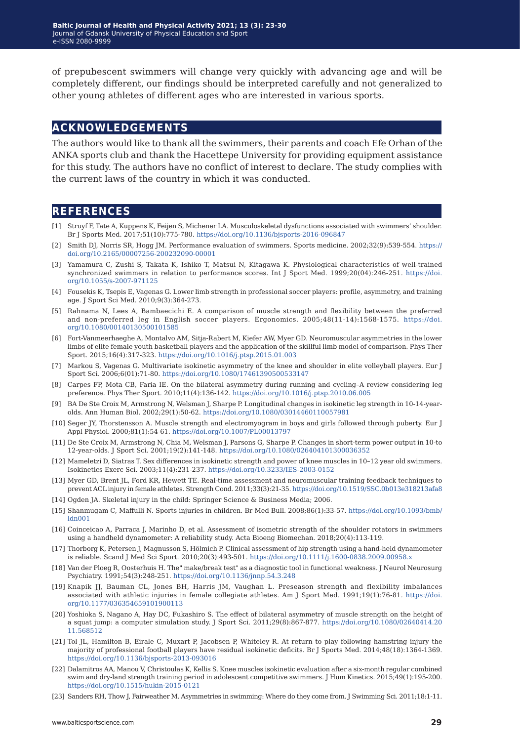of prepubescent swimmers will change very quickly with advancing age and will be completely different, our findings should be interpreted carefully and not generalized to other young athletes of different ages who are interested in various sports.

#### **acknowledgements**

The authors would like to thank all the swimmers, their parents and coach Efe Orhan of the ANKA sports club and thank the Hacettepe University for providing equipment assistance for this study. The authors have no conflict of interest to declare. The study complies with the current laws of the country in which it was conducted.

#### **references**

- [1] Struyf F, Tate A, Kuppens K, Feijen S, Michener LA. Musculoskeletal dysfunctions associated with swimmers' shoulder. Br J Sports Med. 2017;51(10):775-780. <https://doi.org/10.1136/bjsports-2016-096847>
- [2] Smith DJ, Norris SR, Hogg JM. Performance evaluation of swimmers. Sports medicine. 2002;32(9):539-554. [https://](https://doi.org/10.2165/00007256-200232090-00001) [doi.org/10.2165/00007256-200232090-00001](https://doi.org/10.2165/00007256-200232090-00001)
- [3] Yamamura C, Zushi S, Takata K, Ishiko T, Matsui N, Kitagawa K. Physiological characteristics of well-trained synchronized swimmers in relation to performance scores. Int J Sport Med. 1999;20(04):246-251. [https://doi.](https://doi.org/10.1055/s-2007-971125 ) [org/10.1055/s-2007-971125](https://doi.org/10.1055/s-2007-971125 )
- [4] Fousekis K, Tsepis E, Vagenas G. Lower limb strength in professional soccer players: profile, asymmetry, and training age. J Sport Sci Med. 2010;9(3):364-273.
- [5] Rahnama N, Lees A, Bambaecichi E. A comparison of muscle strength and flexibility between the preferred and non-preferred leg in English soccer players. Ergonomics. 2005;48(11-14):1568-1575. [https://doi.](https://doi.org/10.1080/00140130500101585 ) [org/10.1080/00140130500101585](https://doi.org/10.1080/00140130500101585 )
- [6] Fort-Vanmeerhaeghe A, Montalvo AM, Sitja-Rabert M, Kiefer AW, Myer GD. Neuromuscular asymmetries in the lower limbs of elite female youth basketball players and the application of the skillful limb model of comparison. Phys Ther Sport. 2015;16(4):317-323. <https://doi.org/10.1016/j.ptsp.2015.01.003>
- [7] Markou S, Vagenas G. Multivariate isokinetic asymmetry of the knee and shoulder in elite volleyball players. Eur J Sport Sci. 2006;6(01):71-80. <https://doi.org/10.1080/17461390500533147>
- [8] Carpes FP, Mota CB, Faria IE. On the bilateral asymmetry during running and cycling–A review considering leg preference. Phys Ther Sport. 2010;11(4):136-142. <https://doi.org/10.1016/j.ptsp.2010.06.005>
- [9] BA De Ste Croix M, Armstrong N, Welsman J, Sharpe P. Longitudinal changes in isokinetic leg strength in 10-14-yearolds. Ann Human Biol. 2002;29(1):50-62.<https://doi.org/10.1080/03014460110057981>
- [10] Seger JY, Thorstensson A. Muscle strength and electromyogram in boys and girls followed through puberty. Eur J Appl Physiol. 2000;81(1):54-61.<https://doi.org/10.1007/PL00013797>
- [11] De Ste Croix M, Armstrong N, Chia M, Welsman J, Parsons G, Sharpe P. Changes in short-term power output in 10-to 12-year-olds. J Sport Sci. 2001;19(2):141-148.<https://doi.org/10.1080/026404101300036352>
- [12] Mameletzi D, Siatras T. Sex differences in isokinetic strength and power of knee muscles in 10–12 year old swimmers. Isokinetics Exerc Sci. 2003;11(4):231-237.<https://doi.org/10.3233/IES-2003-0152>
- [13] Myer GD, Brent JL, Ford KR, Hewett TE. Real-time assessment and neuromuscular training feedback techniques to prevent ACL injury in female athletes. Strength Cond. 2011;33(3):21-35.<https://doi.org/10.1519/SSC.0b013e318213afa8>
- [14] Ogden JA. Skeletal injury in the child: Springer Science & Business Media; 2006.
- [15] Shanmugam C, Maffulli N. Sports injuries in children. Br Med Bull. 2008;86(1):33-57. [https://doi.org/10.1093/bmb/](https://doi.org/10.1093/bmb/ldn001 ) [ldn001](https://doi.org/10.1093/bmb/ldn001 )
- [16] Coinceicao A, Parraca J, Marinho D, et al. Assessment of isometric strength of the shoulder rotators in swimmers using a handheld dynamometer: A reliability study. Acta Bioeng Biomechan. 2018;20(4):113-119.
- [17] Thorborg K, Petersen J, Magnusson S, Hölmich P. Clinical assessment of hip strength using a hand‐held dynamometer is reliable. Scand J Med Sci Sport. 2010;20(3):493-501. <https://doi.org/10.1111/j.1600-0838.2009.00958.x>
- [18] Van der Ploeg R, Oosterhuis H. The" make/break test" as a diagnostic tool in functional weakness. J Neurol Neurosurg Psychiatry. 1991;54(3):248-251.<https://doi.org/10.1136/jnnp.54.3.248>
- [19] Knapik JJ, Bauman CL, Jones BH, Harris JM, Vaughan L. Preseason strength and flexibility imbalances associated with athletic injuries in female collegiate athletes. Am J Sport Med. 1991;19(1):76-81. [https://doi.](https://doi.org/10.1177/036354659101900113 ) [org/10.1177/036354659101900113](https://doi.org/10.1177/036354659101900113 )
- [20] Yoshioka S, Nagano A, Hay DC, Fukashiro S. The effect of bilateral asymmetry of muscle strength on the height of a squat jump: a computer simulation study. J Sport Sci. 2011;29(8):867-877. [https://doi.org/10.1080/02640414.20](https://doi.org/10.1080/02640414.2011.568512 ) [11.568512](https://doi.org/10.1080/02640414.2011.568512 )
- [21] Tol JL, Hamilton B, Eirale C, Muxart P, Jacobsen P, Whiteley R. At return to play following hamstring injury the majority of professional football players have residual isokinetic deficits. Br J Sports Med. 2014;48(18):1364-1369. <https://doi.org/10.1136/bjsports-2013-093016>
- [22] Dalamitros AA, Manou V, Christoulas K, Kellis S. Knee muscles isokinetic evaluation after a six-month regular combined swim and dry-land strength training period in adolescent competitive swimmers. J Hum Kinetics. 2015;49(1):195-200. <https://doi.org/10.1515/hukin-2015-0121>
- [23] Sanders RH, Thow J, Fairweather M. Asymmetries in swimming: Where do they come from. J Swimming Sci. 2011;18:1-11.